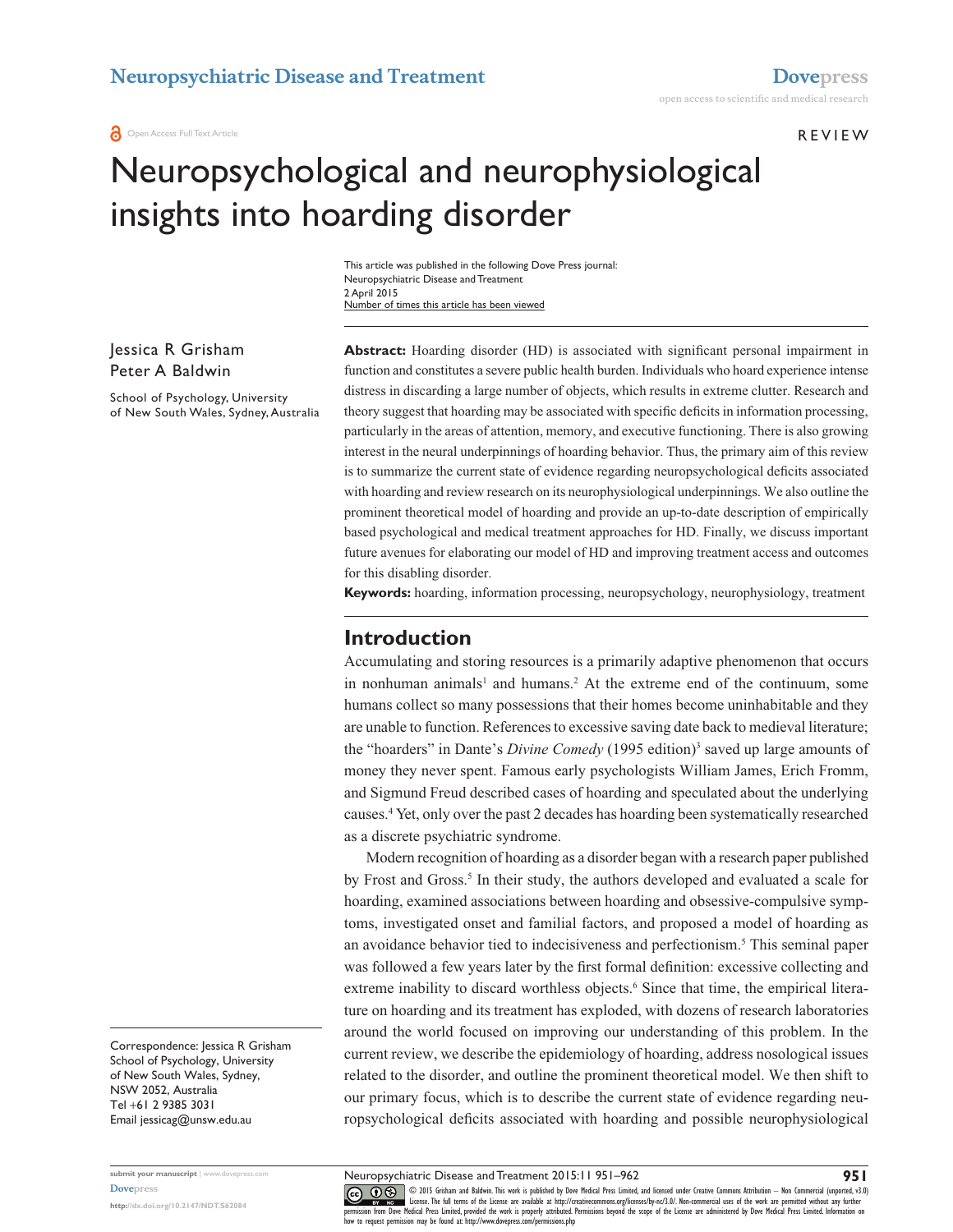**O** Open Access Full Text Article

#### Review

# Neuropsychological and neurophysiological insights into hoarding disorder

This article was published in the following Dove Press journal: Neuropsychiatric Disease and Treatment 2 April 2015 Number of times this article has been viewed

Jessica R Grisham Peter A Baldwin

School of Psychology, University of New South Wales, Sydney, Australia **Abstract:** Hoarding disorder (HD) is associated with significant personal impairment in function and constitutes a severe public health burden. Individuals who hoard experience intense distress in discarding a large number of objects, which results in extreme clutter. Research and theory suggest that hoarding may be associated with specific deficits in information processing, particularly in the areas of attention, memory, and executive functioning. There is also growing interest in the neural underpinnings of hoarding behavior. Thus, the primary aim of this review is to summarize the current state of evidence regarding neuropsychological deficits associated with hoarding and review research on its neurophysiological underpinnings. We also outline the prominent theoretical model of hoarding and provide an up-to-date description of empirically based psychological and medical treatment approaches for HD. Finally, we discuss important future avenues for elaborating our model of HD and improving treatment access and outcomes for this disabling disorder.

**Keywords:** hoarding, information processing, neuropsychology, neurophysiology, treatment

#### **Introduction**

Accumulating and storing resources is a primarily adaptive phenomenon that occurs in nonhuman animals<sup>1</sup> and humans.<sup>2</sup> At the extreme end of the continuum, some humans collect so many possessions that their homes become uninhabitable and they are unable to function. References to excessive saving date back to medieval literature; the "hoarders" in Dante's *Divine Comedy* (1995 edition)<sup>3</sup> saved up large amounts of money they never spent. Famous early psychologists William James, Erich Fromm, and Sigmund Freud described cases of hoarding and speculated about the underlying causes.4 Yet, only over the past 2 decades has hoarding been systematically researched as a discrete psychiatric syndrome.

Modern recognition of hoarding as a disorder began with a research paper published by Frost and Gross.<sup>5</sup> In their study, the authors developed and evaluated a scale for hoarding, examined associations between hoarding and obsessive-compulsive symptoms, investigated onset and familial factors, and proposed a model of hoarding as an avoidance behavior tied to indecisiveness and perfectionism.<sup>5</sup> This seminal paper was followed a few years later by the first formal definition: excessive collecting and extreme inability to discard worthless objects.<sup>6</sup> Since that time, the empirical literature on hoarding and its treatment has exploded, with dozens of research laboratories around the world focused on improving our understanding of this problem. In the current review, we describe the epidemiology of hoarding, address nosological issues related to the disorder, and outline the prominent theoretical model. We then shift to our primary focus, which is to describe the current state of evidence regarding neuropsychological deficits associated with hoarding and possible neurophysiological

Correspondence: Jessica R Grisham School of Psychology, University of New South Wales, Sydney, NSW 2052, Australia Tel +61 2 9385 3031 Email [jessicag@unsw.edu.au](mailto:jessicag@unsw.edu.au)

**submit your manuscript** | <www.dovepress.com> **[Dovepress](www.dovepress.com)**

**<http://dx.doi.org/10.2147/NDT.S62084>**

**951**

CO ODIS Grisham and Baldwin. This work is published by Dove Medical Press Limited, and licensed under Creative Commons Attribution - Non Commercial (unported, v3.0)<br> [permission from Dove M](http://www.dovepress.com/permissions.php)edical Press Limited, provided the how to request permission may be found at: http://www.dovepress.com/permissions.php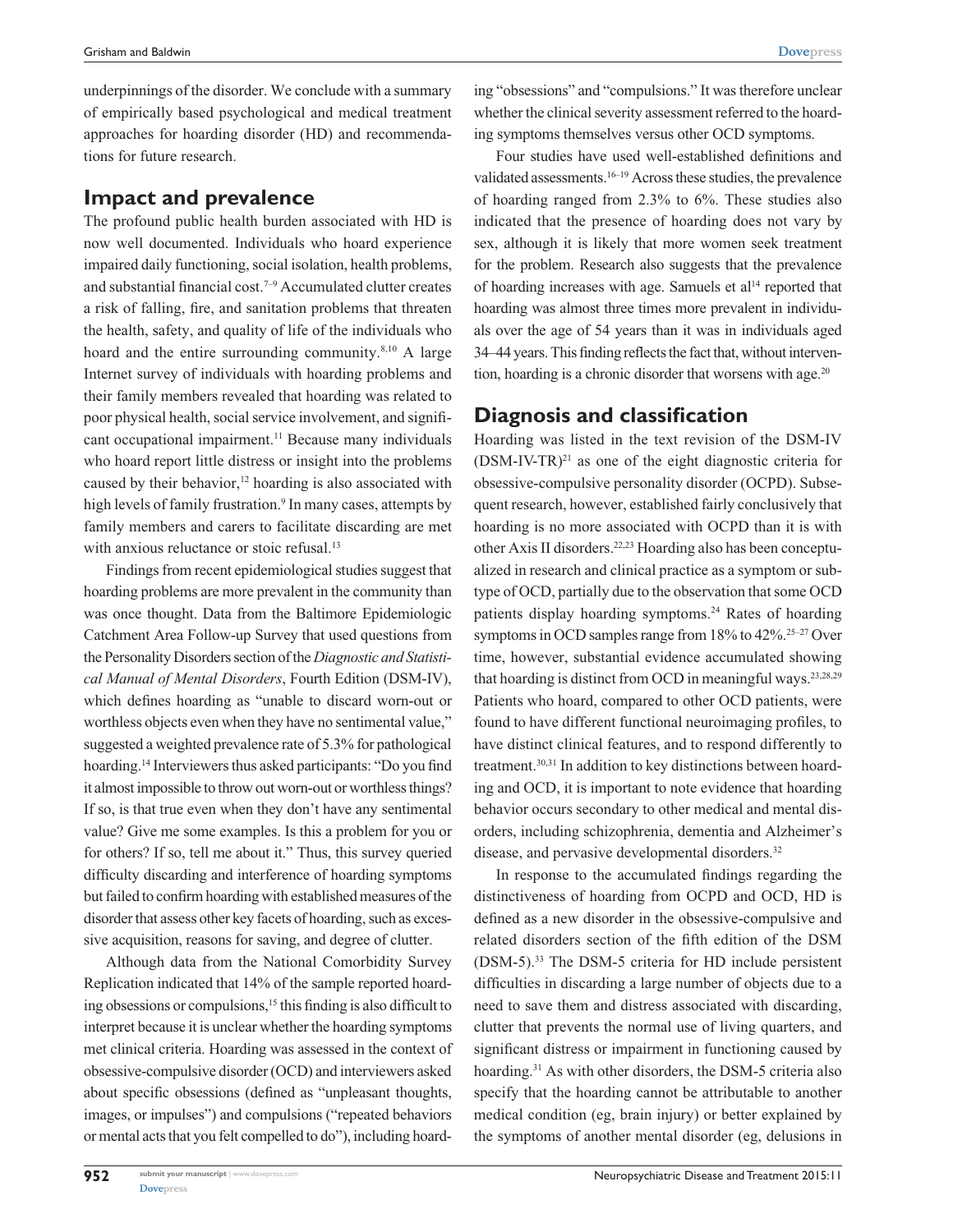underpinnings of the disorder. We conclude with a summary of empirically based psychological and medical treatment approaches for hoarding disorder (HD) and recommendations for future research.

## **Impact and prevalence**

The profound public health burden associated with HD is now well documented. Individuals who hoard experience impaired daily functioning, social isolation, health problems, and substantial financial cost.<sup>7-9</sup> Accumulated clutter creates a risk of falling, fire, and sanitation problems that threaten the health, safety, and quality of life of the individuals who hoard and the entire surrounding community. $8,10$  A large Internet survey of individuals with hoarding problems and their family members revealed that hoarding was related to poor physical health, social service involvement, and significant occupational impairment.<sup>11</sup> Because many individuals who hoard report little distress or insight into the problems caused by their behavior, $12$  hoarding is also associated with high levels of family frustration.<sup>9</sup> In many cases, attempts by family members and carers to facilitate discarding are met with anxious reluctance or stoic refusal.<sup>13</sup>

Findings from recent epidemiological studies suggest that hoarding problems are more prevalent in the community than was once thought. Data from the Baltimore Epidemiologic Catchment Area Follow-up Survey that used questions from the Personality Disorders section of the *Diagnostic and Statistical Manual of Mental Disorders*, Fourth Edition (DSM-IV), which defines hoarding as "unable to discard worn-out or worthless objects even when they have no sentimental value," suggested a weighted prevalence rate of 5.3% for pathological hoarding.14 Interviewers thus asked participants: "Do you find it almost impossible to throw out worn-out or worthless things? If so, is that true even when they don't have any sentimental value? Give me some examples. Is this a problem for you or for others? If so, tell me about it." Thus, this survey queried difficulty discarding and interference of hoarding symptoms but failed to confirm hoarding with established measures of the disorder that assess other key facets of hoarding, such as excessive acquisition, reasons for saving, and degree of clutter.

Although data from the National Comorbidity Survey Replication indicated that 14% of the sample reported hoarding obsessions or compulsions,15 this finding is also difficult to interpret because it is unclear whether the hoarding symptoms met clinical criteria. Hoarding was assessed in the context of obsessive-compulsive disorder (OCD) and interviewers asked about specific obsessions (defined as "unpleasant thoughts, images, or impulses") and compulsions ("repeated behaviors or mental acts that you felt compelled to do"), including hoard-

ing "obsessions" and "compulsions." It was therefore unclear whether the clinical severity assessment referred to the hoarding symptoms themselves versus other OCD symptoms.

Four studies have used well-established definitions and validated assessments.16–19 Across these studies, the prevalence of hoarding ranged from 2.3% to 6%. These studies also indicated that the presence of hoarding does not vary by sex, although it is likely that more women seek treatment for the problem. Research also suggests that the prevalence of hoarding increases with age. Samuels et al<sup>14</sup> reported that hoarding was almost three times more prevalent in individuals over the age of 54 years than it was in individuals aged 34–44 years. This finding reflects the fact that, without intervention, hoarding is a chronic disorder that worsens with age.<sup>20</sup>

## **Diagnosis and classification**

Hoarding was listed in the text revision of the DSM-IV  $(DSM-IV-TR)^{21}$  as one of the eight diagnostic criteria for obsessive-compulsive personality disorder (OCPD). Subsequent research, however, established fairly conclusively that hoarding is no more associated with OCPD than it is with other Axis II disorders.22,23 Hoarding also has been conceptualized in research and clinical practice as a symptom or subtype of OCD, partially due to the observation that some OCD patients display hoarding symptoms.<sup>24</sup> Rates of hoarding symptoms in OCD samples range from  $18\%$  to  $42\%$ .<sup>25–27</sup> Over time, however, substantial evidence accumulated showing that hoarding is distinct from OCD in meaningful ways.23,28,29 Patients who hoard, compared to other OCD patients, were found to have different functional neuroimaging profiles, to have distinct clinical features, and to respond differently to treatment.<sup>30,31</sup> In addition to key distinctions between hoarding and OCD, it is important to note evidence that hoarding behavior occurs secondary to other medical and mental disorders, including schizophrenia, dementia and Alzheimer's disease, and pervasive developmental disorders.<sup>32</sup>

In response to the accumulated findings regarding the distinctiveness of hoarding from OCPD and OCD, HD is defined as a new disorder in the obsessive-compulsive and related disorders section of the fifth edition of the DSM (DSM-5).33 The DSM-5 criteria for HD include persistent difficulties in discarding a large number of objects due to a need to save them and distress associated with discarding, clutter that prevents the normal use of living quarters, and significant distress or impairment in functioning caused by hoarding.<sup>31</sup> As with other disorders, the DSM-5 criteria also specify that the hoarding cannot be attributable to another medical condition (eg, brain injury) or better explained by the symptoms of another mental disorder (eg, delusions in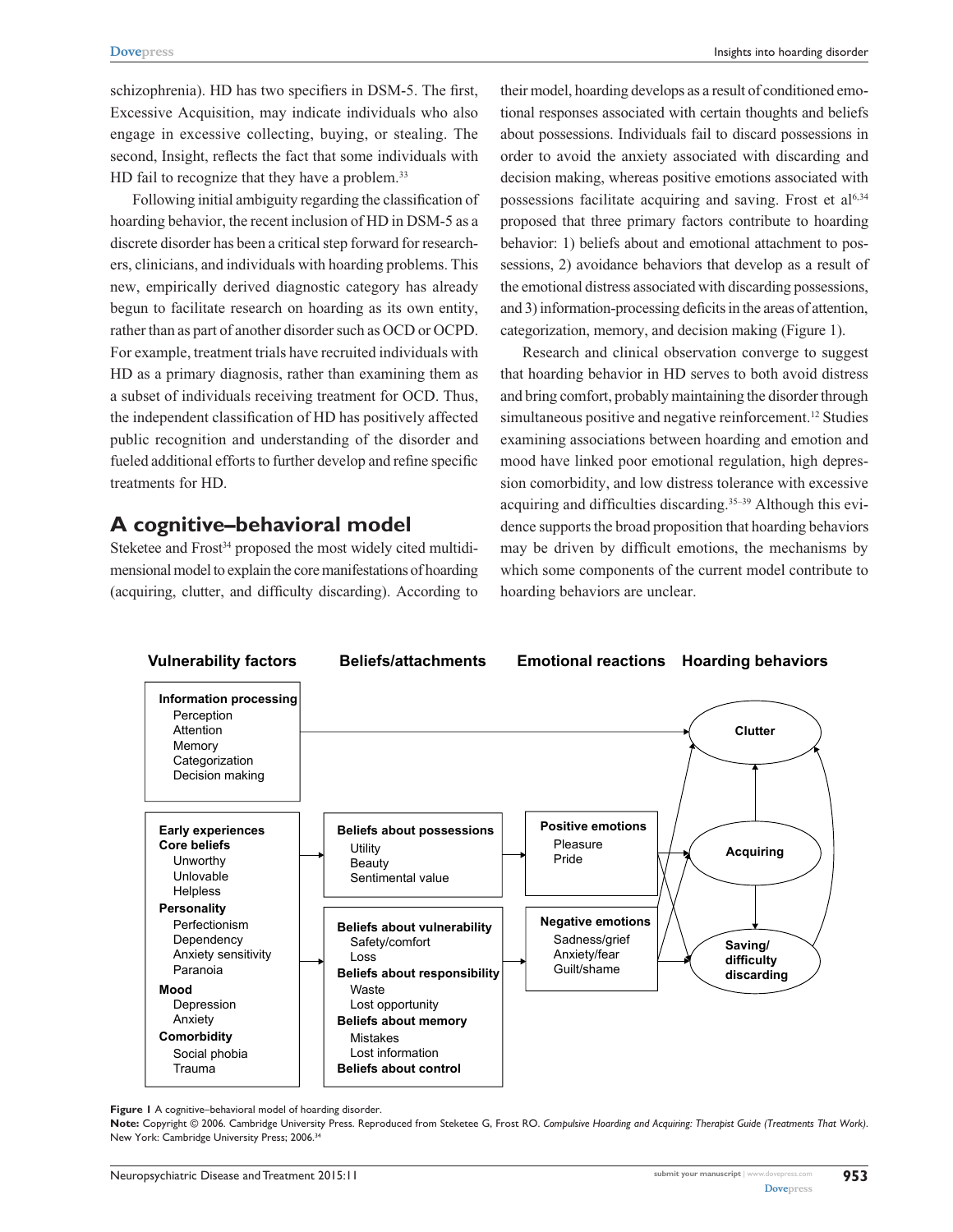Insights into hoarding disorder

schizophrenia). HD has two specifiers in DSM-5. The first, Excessive Acquisition, may indicate individuals who also engage in excessive collecting, buying, or stealing. The second, Insight, reflects the fact that some individuals with HD fail to recognize that they have a problem.<sup>33</sup>

Following initial ambiguity regarding the classification of hoarding behavior, the recent inclusion of HD in DSM-5 as a discrete disorder has been a critical step forward for researchers, clinicians, and individuals with hoarding problems. This new, empirically derived diagnostic category has already begun to facilitate research on hoarding as its own entity, rather than as part of another disorder such as OCD or OCPD. For example, treatment trials have recruited individuals with HD as a primary diagnosis, rather than examining them as a subset of individuals receiving treatment for OCD. Thus, the independent classification of HD has positively affected public recognition and understanding of the disorder and fueled additional efforts to further develop and refine specific treatments for HD.

# **A cognitive–behavioral model**

Steketee and Frost<sup>34</sup> proposed the most widely cited multidimensional model to explain the core manifestations of hoarding (acquiring, clutter, and difficulty discarding). According to

their model, hoarding develops as a result of conditioned emotional responses associated with certain thoughts and beliefs about possessions. Individuals fail to discard possessions in order to avoid the anxiety associated with discarding and decision making, whereas positive emotions associated with possessions facilitate acquiring and saving. Frost et al<sup>6,34</sup> proposed that three primary factors contribute to hoarding behavior: 1) beliefs about and emotional attachment to possessions, 2) avoidance behaviors that develop as a result of the emotional distress associated with discarding possessions, and 3) information-processing deficits in the areas of attention, categorization, memory, and decision making (Figure 1).

Research and clinical observation converge to suggest that hoarding behavior in HD serves to both avoid distress and bring comfort, probably maintaining the disorder through simultaneous positive and negative reinforcement.<sup>12</sup> Studies examining associations between hoarding and emotion and mood have linked poor emotional regulation, high depression comorbidity, and low distress tolerance with excessive acquiring and difficulties discarding.<sup>35-39</sup> Although this evidence supports the broad proposition that hoarding behaviors may be driven by difficult emotions, the mechanisms by which some components of the current model contribute to hoarding behaviors are unclear.



**Figure 1** A cognitive–behavioral model of hoarding disorder.

**Note:** Copyright © 2006. Cambridge University Press. Reproduced from Steketee G, Frost RO. *Compulsive Hoarding and Acquiring: Therapist Guide (Treatments That Work)*. New York: Cambridge University Press; 2006.34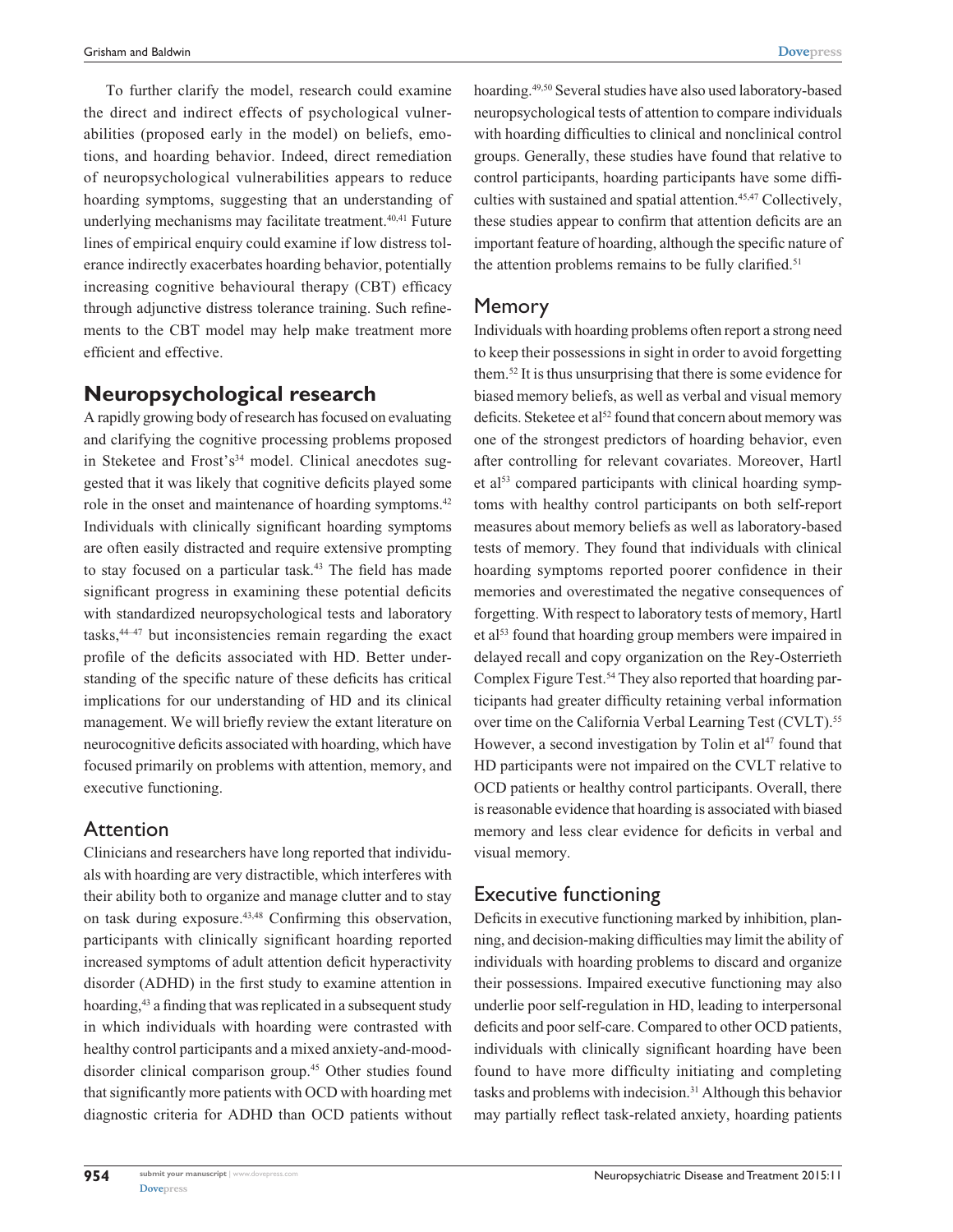To further clarify the model, research could examine the direct and indirect effects of psychological vulnerabilities (proposed early in the model) on beliefs, emotions, and hoarding behavior. Indeed, direct remediation of neuropsychological vulnerabilities appears to reduce hoarding symptoms, suggesting that an understanding of underlying mechanisms may facilitate treatment.<sup>40,41</sup> Future lines of empirical enquiry could examine if low distress tolerance indirectly exacerbates hoarding behavior, potentially increasing cognitive behavioural therapy (CBT) efficacy through adjunctive distress tolerance training. Such refinements to the CBT model may help make treatment more efficient and effective.

## **Neuropsychological research**

A rapidly growing body of research has focused on evaluating and clarifying the cognitive processing problems proposed in Steketee and Frost's<sup>34</sup> model. Clinical anecdotes suggested that it was likely that cognitive deficits played some role in the onset and maintenance of hoarding symptoms.42 Individuals with clinically significant hoarding symptoms are often easily distracted and require extensive prompting to stay focused on a particular task.<sup>43</sup> The field has made significant progress in examining these potential deficits with standardized neuropsychological tests and laboratory  $t$ asks,  $44-47$  but inconsistencies remain regarding the exact profile of the deficits associated with HD. Better understanding of the specific nature of these deficits has critical implications for our understanding of HD and its clinical management. We will briefly review the extant literature on neurocognitive deficits associated with hoarding, which have focused primarily on problems with attention, memory, and executive functioning.

## Attention

Clinicians and researchers have long reported that individuals with hoarding are very distractible, which interferes with their ability both to organize and manage clutter and to stay on task during exposure.43,48 Confirming this observation, participants with clinically significant hoarding reported increased symptoms of adult attention deficit hyperactivity disorder (ADHD) in the first study to examine attention in hoarding,<sup>43</sup> a finding that was replicated in a subsequent study in which individuals with hoarding were contrasted with healthy control participants and a mixed anxiety-and-mooddisorder clinical comparison group.45 Other studies found that significantly more patients with OCD with hoarding met diagnostic criteria for ADHD than OCD patients without hoarding.49,50 Several studies have also used laboratory-based neuropsychological tests of attention to compare individuals with hoarding difficulties to clinical and nonclinical control groups. Generally, these studies have found that relative to control participants, hoarding participants have some difficulties with sustained and spatial attention.<sup>45,47</sup> Collectively, these studies appear to confirm that attention deficits are an important feature of hoarding, although the specific nature of the attention problems remains to be fully clarified.<sup>51</sup>

#### Memory

Individuals with hoarding problems often report a strong need to keep their possessions in sight in order to avoid forgetting them.52 It is thus unsurprising that there is some evidence for biased memory beliefs, as well as verbal and visual memory deficits. Steketee et al<sup>52</sup> found that concern about memory was one of the strongest predictors of hoarding behavior, even after controlling for relevant covariates. Moreover, Hartl et al<sup>53</sup> compared participants with clinical hoarding symptoms with healthy control participants on both self-report measures about memory beliefs as well as laboratory-based tests of memory. They found that individuals with clinical hoarding symptoms reported poorer confidence in their memories and overestimated the negative consequences of forgetting. With respect to laboratory tests of memory, Hartl et al<sup>53</sup> found that hoarding group members were impaired in delayed recall and copy organization on the Rey-Osterrieth Complex Figure Test.<sup>54</sup> They also reported that hoarding participants had greater difficulty retaining verbal information over time on the California Verbal Learning Test (CVLT).<sup>55</sup> However, a second investigation by Tolin et  $al<sup>47</sup>$  found that HD participants were not impaired on the CVLT relative to OCD patients or healthy control participants. Overall, there is reasonable evidence that hoarding is associated with biased memory and less clear evidence for deficits in verbal and visual memory.

## Executive functioning

Deficits in executive functioning marked by inhibition, planning, and decision-making difficulties may limit the ability of individuals with hoarding problems to discard and organize their possessions. Impaired executive functioning may also underlie poor self-regulation in HD, leading to interpersonal deficits and poor self-care. Compared to other OCD patients, individuals with clinically significant hoarding have been found to have more difficulty initiating and completing tasks and problems with indecision.<sup>31</sup> Although this behavior may partially reflect task-related anxiety, hoarding patients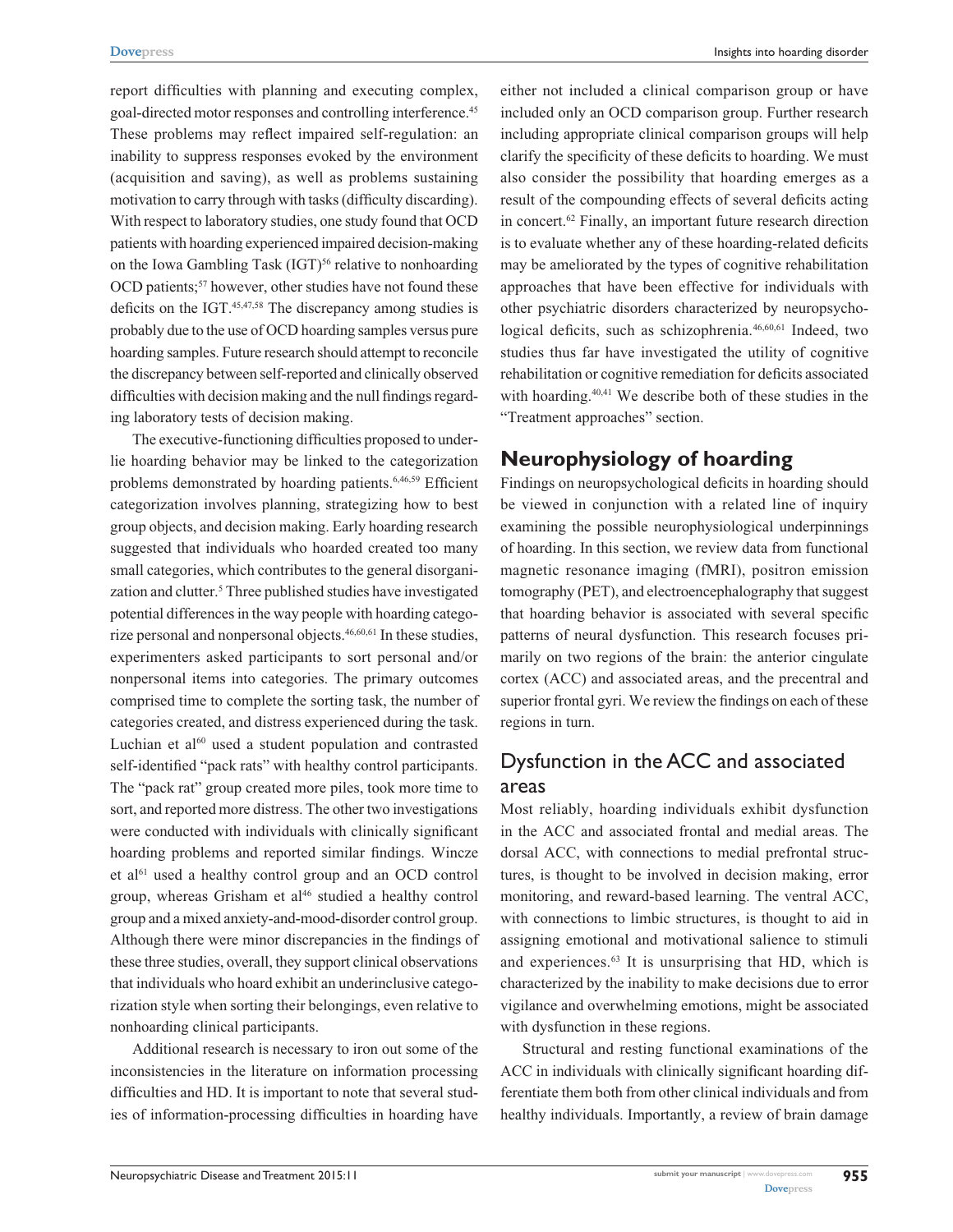report difficulties with planning and executing complex, goal-directed motor responses and controlling interference.45 These problems may reflect impaired self-regulation: an inability to suppress responses evoked by the environment (acquisition and saving), as well as problems sustaining motivation to carry through with tasks (difficulty discarding). With respect to laboratory studies, one study found that OCD patients with hoarding experienced impaired decision-making on the Iowa Gambling Task (IGT)<sup>56</sup> relative to nonhoarding OCD patients;<sup>57</sup> however, other studies have not found these deficits on the IGT.<sup>45,47,58</sup> The discrepancy among studies is probably due to the use of OCD hoarding samples versus pure hoarding samples. Future research should attempt to reconcile the discrepancy between self-reported and clinically observed difficulties with decision making and the null findings regarding laboratory tests of decision making.

The executive-functioning difficulties proposed to underlie hoarding behavior may be linked to the categorization problems demonstrated by hoarding patients.<sup>6,46,59</sup> Efficient categorization involves planning, strategizing how to best group objects, and decision making. Early hoarding research suggested that individuals who hoarded created too many small categories, which contributes to the general disorganization and clutter.<sup>5</sup> Three published studies have investigated potential differences in the way people with hoarding categorize personal and nonpersonal objects.46,60,61 In these studies, experimenters asked participants to sort personal and/or nonpersonal items into categories. The primary outcomes comprised time to complete the sorting task, the number of categories created, and distress experienced during the task. Luchian et  $al<sup>60</sup>$  used a student population and contrasted self-identified "pack rats" with healthy control participants. The "pack rat" group created more piles, took more time to sort, and reported more distress. The other two investigations were conducted with individuals with clinically significant hoarding problems and reported similar findings. Wincze et al $^{61}$  used a healthy control group and an OCD control group, whereas Grisham et al<sup>46</sup> studied a healthy control group and a mixed anxiety-and-mood-disorder control group. Although there were minor discrepancies in the findings of these three studies, overall, they support clinical observations that individuals who hoard exhibit an underinclusive categorization style when sorting their belongings, even relative to nonhoarding clinical participants.

Additional research is necessary to iron out some of the inconsistencies in the literature on information processing difficulties and HD. It is important to note that several studies of information-processing difficulties in hoarding have either not included a clinical comparison group or have included only an OCD comparison group. Further research including appropriate clinical comparison groups will help clarify the specificity of these deficits to hoarding. We must also consider the possibility that hoarding emerges as a result of the compounding effects of several deficits acting in concert.62 Finally, an important future research direction is to evaluate whether any of these hoarding-related deficits may be ameliorated by the types of cognitive rehabilitation approaches that have been effective for individuals with other psychiatric disorders characterized by neuropsychological deficits, such as schizophrenia.<sup>46,60,61</sup> Indeed, two studies thus far have investigated the utility of cognitive rehabilitation or cognitive remediation for deficits associated with hoarding.<sup>40,41</sup> We describe both of these studies in the "Treatment approaches" section.

## **Neurophysiology of hoarding**

Findings on neuropsychological deficits in hoarding should be viewed in conjunction with a related line of inquiry examining the possible neurophysiological underpinnings of hoarding. In this section, we review data from functional magnetic resonance imaging (fMRI), positron emission tomography (PET), and electroencephalography that suggest that hoarding behavior is associated with several specific patterns of neural dysfunction. This research focuses primarily on two regions of the brain: the anterior cingulate cortex (ACC) and associated areas, and the precentral and superior frontal gyri. We review the findings on each of these regions in turn.

## Dysfunction in the ACC and associated areas

Most reliably, hoarding individuals exhibit dysfunction in the ACC and associated frontal and medial areas. The dorsal ACC, with connections to medial prefrontal structures, is thought to be involved in decision making, error monitoring, and reward-based learning. The ventral ACC, with connections to limbic structures, is thought to aid in assigning emotional and motivational salience to stimuli and experiences.63 It is unsurprising that HD, which is characterized by the inability to make decisions due to error vigilance and overwhelming emotions, might be associated with dysfunction in these regions.

Structural and resting functional examinations of the ACC in individuals with clinically significant hoarding differentiate them both from other clinical individuals and from healthy individuals. Importantly, a review of brain damage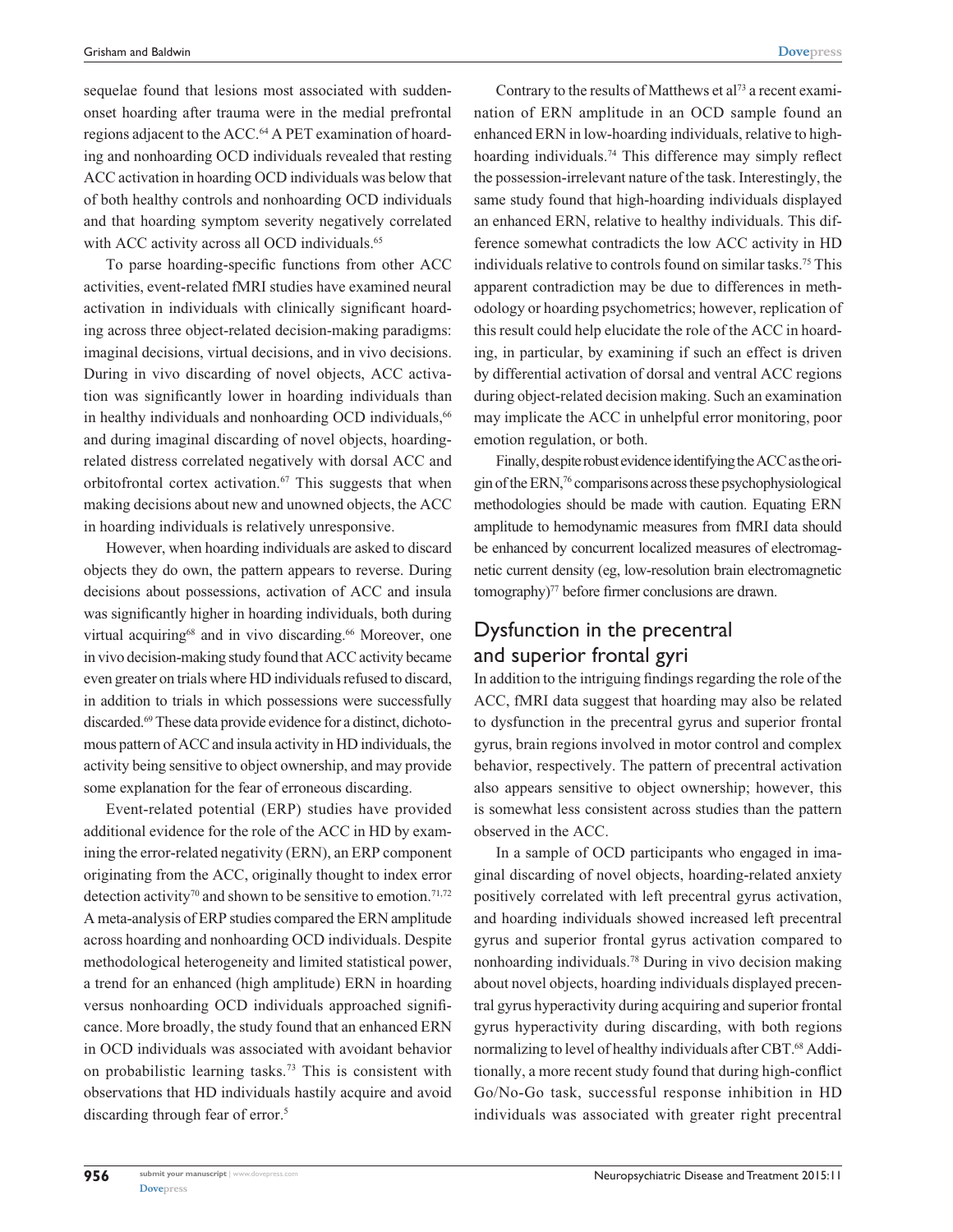sequelae found that lesions most associated with suddenonset hoarding after trauma were in the medial prefrontal regions adjacent to the ACC.64 A PET examination of hoarding and nonhoarding OCD individuals revealed that resting ACC activation in hoarding OCD individuals was below that of both healthy controls and nonhoarding OCD individuals and that hoarding symptom severity negatively correlated with ACC activity across all OCD individuals.<sup>65</sup>

To parse hoarding-specific functions from other ACC activities, event-related fMRI studies have examined neural activation in individuals with clinically significant hoarding across three object-related decision-making paradigms: imaginal decisions, virtual decisions, and in vivo decisions. During in vivo discarding of novel objects, ACC activation was significantly lower in hoarding individuals than in healthy individuals and nonhoarding OCD individuals,<sup>66</sup> and during imaginal discarding of novel objects, hoardingrelated distress correlated negatively with dorsal ACC and orbitofrontal cortex activation.67 This suggests that when making decisions about new and unowned objects, the ACC in hoarding individuals is relatively unresponsive.

However, when hoarding individuals are asked to discard objects they do own, the pattern appears to reverse. During decisions about possessions, activation of ACC and insula was significantly higher in hoarding individuals, both during virtual acquiring<sup>68</sup> and in vivo discarding.<sup>66</sup> Moreover, one in vivo decision-making study found that ACC activity became even greater on trials where HD individuals refused to discard, in addition to trials in which possessions were successfully discarded.<sup>69</sup> These data provide evidence for a distinct, dichotomous pattern of ACC and insula activity in HD individuals, the activity being sensitive to object ownership, and may provide some explanation for the fear of erroneous discarding.

Event-related potential (ERP) studies have provided additional evidence for the role of the ACC in HD by examining the error-related negativity (ERN), an ERP component originating from the ACC, originally thought to index error detection activity<sup>70</sup> and shown to be sensitive to emotion.<sup>71,72</sup> A meta-analysis of ERP studies compared the ERN amplitude across hoarding and nonhoarding OCD individuals. Despite methodological heterogeneity and limited statistical power, a trend for an enhanced (high amplitude) ERN in hoarding versus nonhoarding OCD individuals approached significance. More broadly, the study found that an enhanced ERN in OCD individuals was associated with avoidant behavior on probabilistic learning tasks.73 This is consistent with observations that HD individuals hastily acquire and avoid discarding through fear of error.<sup>5</sup>

Contrary to the results of Matthews et al<sup>73</sup> a recent examination of ERN amplitude in an OCD sample found an enhanced ERN in low-hoarding individuals, relative to highhoarding individuals.<sup>74</sup> This difference may simply reflect the possession-irrelevant nature of the task. Interestingly, the same study found that high-hoarding individuals displayed an enhanced ERN, relative to healthy individuals. This difference somewhat contradicts the low ACC activity in HD individuals relative to controls found on similar tasks.75 This apparent contradiction may be due to differences in methodology or hoarding psychometrics; however, replication of this result could help elucidate the role of the ACC in hoarding, in particular, by examining if such an effect is driven by differential activation of dorsal and ventral ACC regions during object-related decision making. Such an examination may implicate the ACC in unhelpful error monitoring, poor emotion regulation, or both.

Finally, despite robust evidence identifying the ACC as the origin of the ERN,76 comparisons across these psychophysiological methodologies should be made with caution. Equating ERN amplitude to hemodynamic measures from fMRI data should be enhanced by concurrent localized measures of electromagnetic current density (eg, low-resolution brain electromagnetic tomography)77 before firmer conclusions are drawn.

## Dysfunction in the precentral and superior frontal gyri

In addition to the intriguing findings regarding the role of the ACC, fMRI data suggest that hoarding may also be related to dysfunction in the precentral gyrus and superior frontal gyrus, brain regions involved in motor control and complex behavior, respectively. The pattern of precentral activation also appears sensitive to object ownership; however, this is somewhat less consistent across studies than the pattern observed in the ACC.

In a sample of OCD participants who engaged in imaginal discarding of novel objects, hoarding-related anxiety positively correlated with left precentral gyrus activation, and hoarding individuals showed increased left precentral gyrus and superior frontal gyrus activation compared to nonhoarding individuals.78 During in vivo decision making about novel objects, hoarding individuals displayed precentral gyrus hyperactivity during acquiring and superior frontal gyrus hyperactivity during discarding, with both regions normalizing to level of healthy individuals after CBT.<sup>68</sup> Additionally, a more recent study found that during high-conflict Go/No-Go task, successful response inhibition in HD individuals was associated with greater right precentral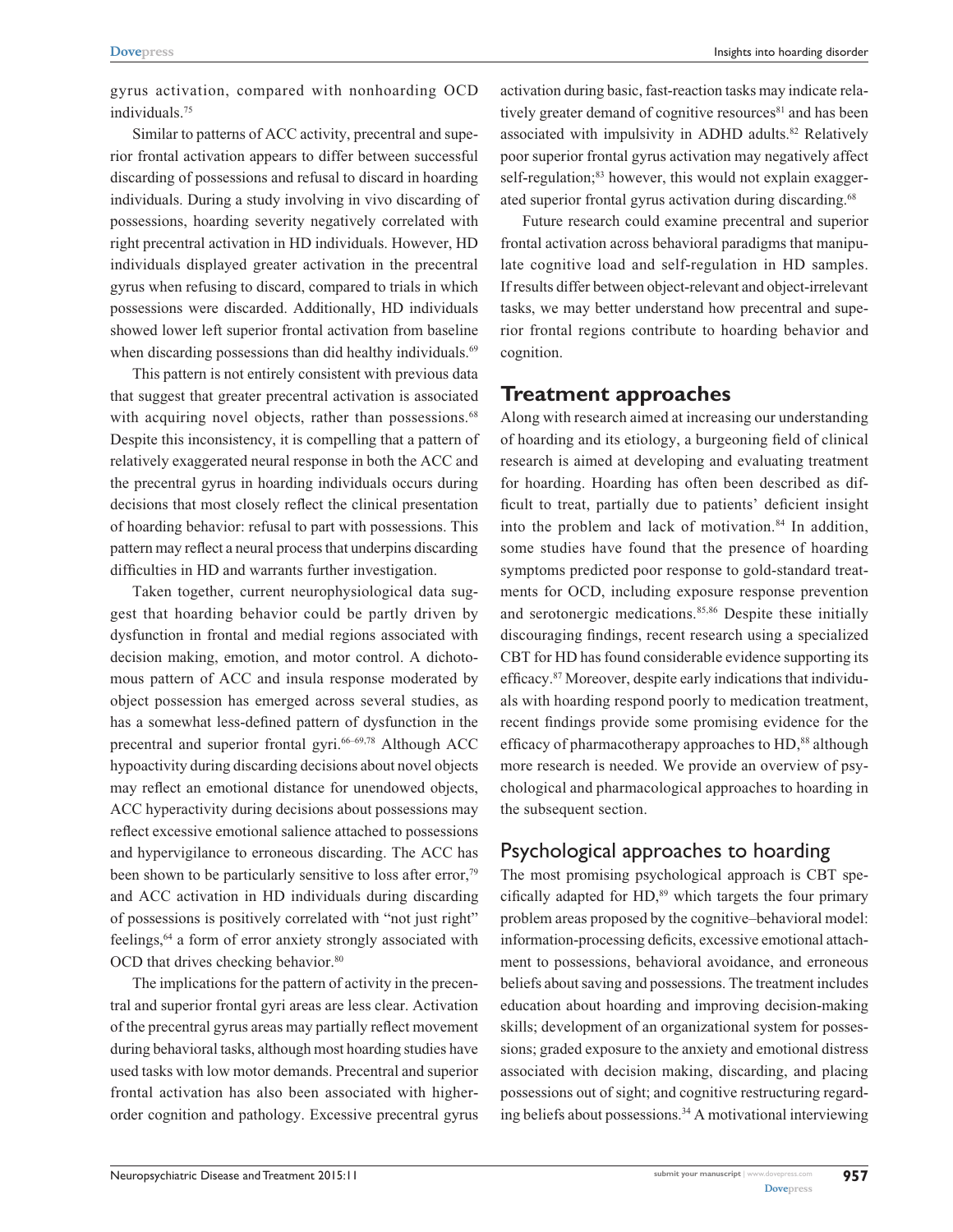gyrus activation, compared with nonhoarding OCD individuals.75

Similar to patterns of ACC activity, precentral and superior frontal activation appears to differ between successful discarding of possessions and refusal to discard in hoarding individuals. During a study involving in vivo discarding of possessions, hoarding severity negatively correlated with right precentral activation in HD individuals. However, HD individuals displayed greater activation in the precentral gyrus when refusing to discard, compared to trials in which possessions were discarded. Additionally, HD individuals showed lower left superior frontal activation from baseline when discarding possessions than did healthy individuals.<sup>69</sup>

This pattern is not entirely consistent with previous data that suggest that greater precentral activation is associated with acquiring novel objects, rather than possessions.<sup>68</sup> Despite this inconsistency, it is compelling that a pattern of relatively exaggerated neural response in both the ACC and the precentral gyrus in hoarding individuals occurs during decisions that most closely reflect the clinical presentation of hoarding behavior: refusal to part with possessions. This pattern may reflect a neural process that underpins discarding difficulties in HD and warrants further investigation.

Taken together, current neurophysiological data suggest that hoarding behavior could be partly driven by dysfunction in frontal and medial regions associated with decision making, emotion, and motor control. A dichotomous pattern of ACC and insula response moderated by object possession has emerged across several studies, as has a somewhat less-defined pattern of dysfunction in the precentral and superior frontal gyri.<sup>66–69,78</sup> Although ACC hypoactivity during discarding decisions about novel objects may reflect an emotional distance for unendowed objects, ACC hyperactivity during decisions about possessions may reflect excessive emotional salience attached to possessions and hypervigilance to erroneous discarding. The ACC has been shown to be particularly sensitive to loss after error,<sup>79</sup> and ACC activation in HD individuals during discarding of possessions is positively correlated with "not just right" feelings,<sup>64</sup> a form of error anxiety strongly associated with OCD that drives checking behavior.<sup>80</sup>

The implications for the pattern of activity in the precentral and superior frontal gyri areas are less clear. Activation of the precentral gyrus areas may partially reflect movement during behavioral tasks, although most hoarding studies have used tasks with low motor demands. Precentral and superior frontal activation has also been associated with higherorder cognition and pathology. Excessive precentral gyrus

activation during basic, fast-reaction tasks may indicate relatively greater demand of cognitive resources<sup>81</sup> and has been associated with impulsivity in ADHD adults.<sup>82</sup> Relatively poor superior frontal gyrus activation may negatively affect self-regulation;<sup>83</sup> however, this would not explain exaggerated superior frontal gyrus activation during discarding.<sup>68</sup>

Future research could examine precentral and superior frontal activation across behavioral paradigms that manipulate cognitive load and self-regulation in HD samples. If results differ between object-relevant and object-irrelevant tasks, we may better understand how precentral and superior frontal regions contribute to hoarding behavior and cognition.

## **Treatment approaches**

Along with research aimed at increasing our understanding of hoarding and its etiology, a burgeoning field of clinical research is aimed at developing and evaluating treatment for hoarding. Hoarding has often been described as difficult to treat, partially due to patients' deficient insight into the problem and lack of motivation.<sup>84</sup> In addition, some studies have found that the presence of hoarding symptoms predicted poor response to gold-standard treatments for OCD, including exposure response prevention and serotonergic medications.<sup>85,86</sup> Despite these initially discouraging findings, recent research using a specialized CBT for HD has found considerable evidence supporting its efficacy.87 Moreover, despite early indications that individuals with hoarding respond poorly to medication treatment, recent findings provide some promising evidence for the efficacy of pharmacotherapy approaches to HD,<sup>88</sup> although more research is needed. We provide an overview of psychological and pharmacological approaches to hoarding in the subsequent section.

## Psychological approaches to hoarding

The most promising psychological approach is CBT specifically adapted for HD,<sup>89</sup> which targets the four primary problem areas proposed by the cognitive–behavioral model: information-processing deficits, excessive emotional attachment to possessions, behavioral avoidance, and erroneous beliefs about saving and possessions. The treatment includes education about hoarding and improving decision-making skills; development of an organizational system for possessions; graded exposure to the anxiety and emotional distress associated with decision making, discarding, and placing possessions out of sight; and cognitive restructuring regarding beliefs about possessions.34 A motivational interviewing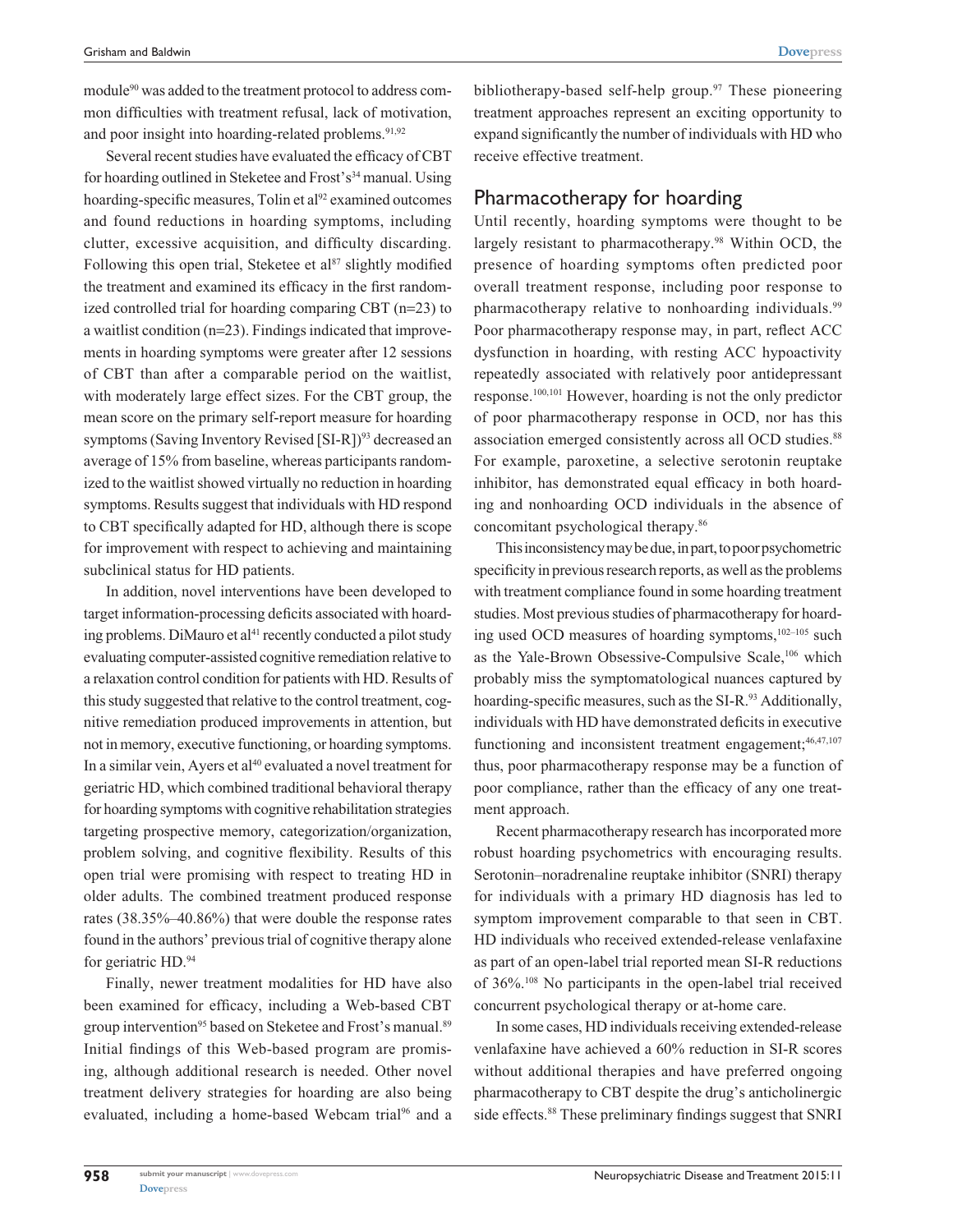module<sup>90</sup> was added to the treatment protocol to address common difficulties with treatment refusal, lack of motivation, and poor insight into hoarding-related problems.<sup>91,92</sup>

Several recent studies have evaluated the efficacy of CBT for hoarding outlined in Steketee and Frost's<sup>34</sup> manual. Using hoarding-specific measures, Tolin et al<sup>92</sup> examined outcomes and found reductions in hoarding symptoms, including clutter, excessive acquisition, and difficulty discarding. Following this open trial, Steketee et al<sup>87</sup> slightly modified the treatment and examined its efficacy in the first randomized controlled trial for hoarding comparing CBT (n=23) to a waitlist condition (n=23). Findings indicated that improvements in hoarding symptoms were greater after 12 sessions of CBT than after a comparable period on the waitlist, with moderately large effect sizes. For the CBT group, the mean score on the primary self-report measure for hoarding symptoms (Saving Inventory Revised [SI-R])<sup>93</sup> decreased an average of 15% from baseline, whereas participants randomized to the waitlist showed virtually no reduction in hoarding symptoms. Results suggest that individuals with HD respond to CBT specifically adapted for HD, although there is scope for improvement with respect to achieving and maintaining subclinical status for HD patients.

In addition, novel interventions have been developed to target information-processing deficits associated with hoarding problems. DiMauro et al<sup>41</sup> recently conducted a pilot study evaluating computer-assisted cognitive remediation relative to a relaxation control condition for patients with HD. Results of this study suggested that relative to the control treatment, cognitive remediation produced improvements in attention, but not in memory, executive functioning, or hoarding symptoms. In a similar vein, Ayers et al<sup>40</sup> evaluated a novel treatment for geriatric HD, which combined traditional behavioral therapy for hoarding symptoms with cognitive rehabilitation strategies targeting prospective memory, categorization/organization, problem solving, and cognitive flexibility. Results of this open trial were promising with respect to treating HD in older adults. The combined treatment produced response rates (38.35%–40.86%) that were double the response rates found in the authors' previous trial of cognitive therapy alone for geriatric HD.<sup>94</sup>

Finally, newer treatment modalities for HD have also been examined for efficacy, including a Web-based CBT group intervention<sup>95</sup> based on Steketee and Frost's manual.<sup>89</sup> Initial findings of this Web-based program are promising, although additional research is needed. Other novel treatment delivery strategies for hoarding are also being evaluated, including a home-based Webcam trial<sup>96</sup> and a bibliotherapy-based self-help group. $97$  These pioneering treatment approaches represent an exciting opportunity to expand significantly the number of individuals with HD who receive effective treatment.

#### Pharmacotherapy for hoarding

Until recently, hoarding symptoms were thought to be largely resistant to pharmacotherapy.<sup>98</sup> Within OCD, the presence of hoarding symptoms often predicted poor overall treatment response, including poor response to pharmacotherapy relative to nonhoarding individuals.<sup>99</sup> Poor pharmacotherapy response may, in part, reflect ACC dysfunction in hoarding, with resting ACC hypoactivity repeatedly associated with relatively poor antidepressant response.100,101 However, hoarding is not the only predictor of poor pharmacotherapy response in OCD, nor has this association emerged consistently across all OCD studies.<sup>88</sup> For example, paroxetine, a selective serotonin reuptake inhibitor, has demonstrated equal efficacy in both hoarding and nonhoarding OCD individuals in the absence of concomitant psychological therapy.86

This inconsistency may be due, in part, to poor psychometric specificity in previous research reports, as well as the problems with treatment compliance found in some hoarding treatment studies. Most previous studies of pharmacotherapy for hoarding used OCD measures of hoarding symptoms,<sup>102–105</sup> such as the Yale-Brown Obsessive-Compulsive Scale,<sup>106</sup> which probably miss the symptomatological nuances captured by hoarding-specific measures, such as the SI-R.<sup>93</sup> Additionally, individuals with HD have demonstrated deficits in executive functioning and inconsistent treatment engagement;<sup>46,47,107</sup> thus, poor pharmacotherapy response may be a function of poor compliance, rather than the efficacy of any one treatment approach.

Recent pharmacotherapy research has incorporated more robust hoarding psychometrics with encouraging results. Serotonin–noradrenaline reuptake inhibitor (SNRI) therapy for individuals with a primary HD diagnosis has led to symptom improvement comparable to that seen in CBT. HD individuals who received extended-release venlafaxine as part of an open-label trial reported mean SI-R reductions of 36%.108 No participants in the open-label trial received concurrent psychological therapy or at-home care.

In some cases, HD individuals receiving extended-release venlafaxine have achieved a 60% reduction in SI-R scores without additional therapies and have preferred ongoing pharmacotherapy to CBT despite the drug's anticholinergic side effects.<sup>88</sup> These preliminary findings suggest that SNRI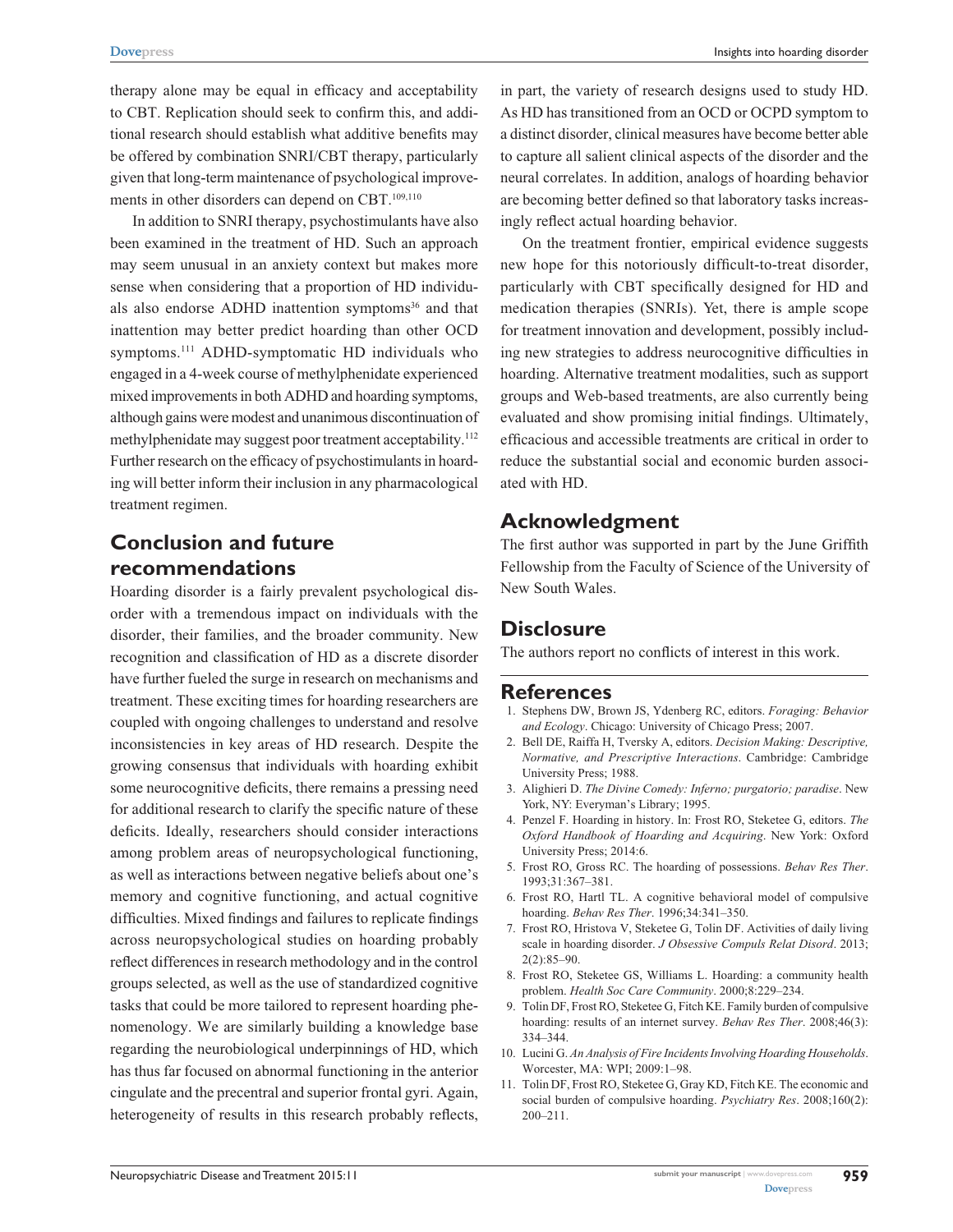therapy alone may be equal in efficacy and acceptability to CBT. Replication should seek to confirm this, and additional research should establish what additive benefits may be offered by combination SNRI/CBT therapy, particularly given that long-term maintenance of psychological improvements in other disorders can depend on CBT.<sup>109,110</sup>

In addition to SNRI therapy, psychostimulants have also been examined in the treatment of HD. Such an approach may seem unusual in an anxiety context but makes more sense when considering that a proportion of HD individuals also endorse ADHD inattention symptoms<sup>36</sup> and that inattention may better predict hoarding than other OCD symptoms.111 ADHD-symptomatic HD individuals who engaged in a 4-week course of methylphenidate experienced mixed improvements in both ADHD and hoarding symptoms, although gains were modest and unanimous discontinuation of methylphenidate may suggest poor treatment acceptability.112 Further research on the efficacy of psychostimulants in hoarding will better inform their inclusion in any pharmacological treatment regimen.

## **Conclusion and future recommendations**

Hoarding disorder is a fairly prevalent psychological disorder with a tremendous impact on individuals with the disorder, their families, and the broader community. New recognition and classification of HD as a discrete disorder have further fueled the surge in research on mechanisms and treatment. These exciting times for hoarding researchers are coupled with ongoing challenges to understand and resolve inconsistencies in key areas of HD research. Despite the growing consensus that individuals with hoarding exhibit some neurocognitive deficits, there remains a pressing need for additional research to clarify the specific nature of these deficits. Ideally, researchers should consider interactions among problem areas of neuropsychological functioning, as well as interactions between negative beliefs about one's memory and cognitive functioning, and actual cognitive difficulties. Mixed findings and failures to replicate findings across neuropsychological studies on hoarding probably reflect differences in research methodology and in the control groups selected, as well as the use of standardized cognitive tasks that could be more tailored to represent hoarding phenomenology. We are similarly building a knowledge base regarding the neurobiological underpinnings of HD, which has thus far focused on abnormal functioning in the anterior cingulate and the precentral and superior frontal gyri. Again, heterogeneity of results in this research probably reflects,

in part, the variety of research designs used to study HD. As HD has transitioned from an OCD or OCPD symptom to a distinct disorder, clinical measures have become better able to capture all salient clinical aspects of the disorder and the neural correlates. In addition, analogs of hoarding behavior are becoming better defined so that laboratory tasks increasingly reflect actual hoarding behavior.

On the treatment frontier, empirical evidence suggests new hope for this notoriously difficult-to-treat disorder, particularly with CBT specifically designed for HD and medication therapies (SNRIs). Yet, there is ample scope for treatment innovation and development, possibly including new strategies to address neurocognitive difficulties in hoarding. Alternative treatment modalities, such as support groups and Web-based treatments, are also currently being evaluated and show promising initial findings. Ultimately, efficacious and accessible treatments are critical in order to reduce the substantial social and economic burden associated with HD.

## **Acknowledgment**

The first author was supported in part by the June Griffith Fellowship from the Faculty of Science of the University of New South Wales.

# **Disclosure**

The authors report no conflicts of interest in this work.

#### **References**

- 1. Stephens DW, Brown JS, Ydenberg RC, editors. *Foraging: Behavior and Ecology*. Chicago: University of Chicago Press; 2007.
- 2. Bell DE, Raiffa H, Tversky A, editors. *Decision Making: Descriptive, Normative, and Prescriptive Interactions*. Cambridge: Cambridge University Press; 1988.
- 3. Alighieri D. *The Divine Comedy: Inferno; purgatorio; paradise*. New York, NY: Everyman's Library; 1995.
- 4. Penzel F. Hoarding in history. In: Frost RO, Steketee G, editors. *The Oxford Handbook of Hoarding and Acquiring*. New York: Oxford University Press; 2014:6.
- 5. Frost RO, Gross RC. The hoarding of possessions. *Behav Res Ther*. 1993;31:367–381.
- 6. Frost RO, Hartl TL. A cognitive behavioral model of compulsive hoarding. *Behav Res Ther*. 1996;34:341–350.
- 7. Frost RO, Hristova V, Steketee G, Tolin DF. Activities of daily living scale in hoarding disorder. *J Obsessive Compuls Relat Disord*. 2013; 2(2):85–90.
- 8. Frost RO, Steketee GS, Williams L. Hoarding: a community health problem. *Health Soc Care Community*. 2000;8:229–234.
- 9. Tolin DF, Frost RO, Steketee G, Fitch KE. Family burden of compulsive hoarding: results of an internet survey. *Behav Res Ther*. 2008;46(3): 334–344.
- 10. Lucini G. *An Analysis of Fire Incidents Involving Hoarding Households*. Worcester, MA: WPI; 2009:1–98.
- 11. Tolin DF, Frost RO, Steketee G, Gray KD, Fitch KE. The economic and social burden of compulsive hoarding. *Psychiatry Res*. 2008;160(2): 200–211.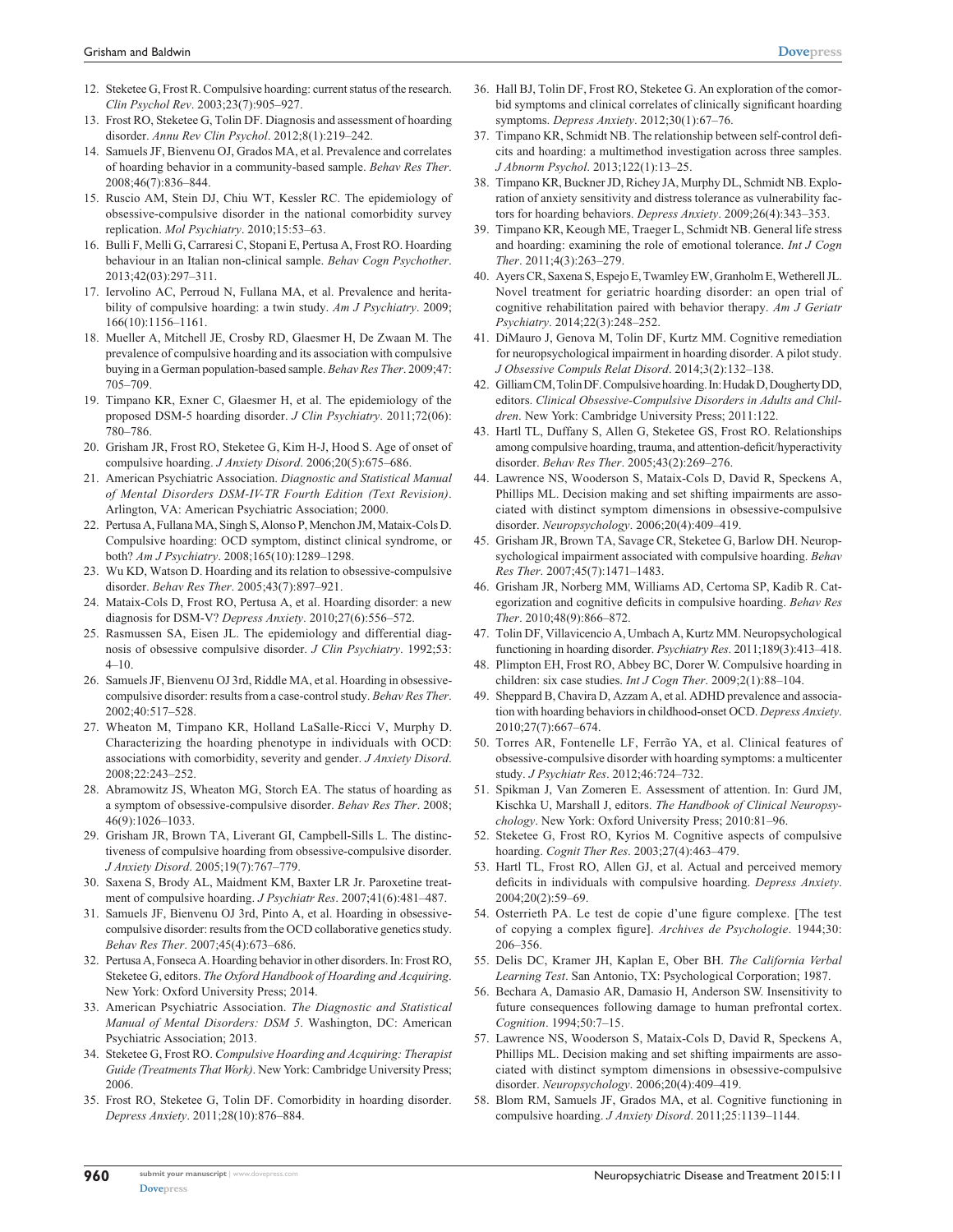- 12. Steketee G, Frost R. Compulsive hoarding: current status of the research. *Clin Psychol Rev*. 2003;23(7):905–927.
- 13. Frost RO, Steketee G, Tolin DF. Diagnosis and assessment of hoarding disorder. *Annu Rev Clin Psychol*. 2012;8(1):219–242.
- 14. Samuels JF, Bienvenu OJ, Grados MA, et al. Prevalence and correlates of hoarding behavior in a community-based sample. *Behav Res Ther*. 2008;46(7):836–844.
- 15. Ruscio AM, Stein DJ, Chiu WT, Kessler RC. The epidemiology of obsessive-compulsive disorder in the national comorbidity survey replication. *Mol Psychiatry*. 2010;15:53–63.
- 16. Bulli F, Melli G, Carraresi C, Stopani E, Pertusa A, Frost RO. Hoarding behaviour in an Italian non-clinical sample. *Behav Cogn Psychother*. 2013;42(03):297–311.
- 17. Iervolino AC, Perroud N, Fullana MA, et al. Prevalence and heritability of compulsive hoarding: a twin study. *Am J Psychiatry*. 2009; 166(10):1156–1161.
- 18. Mueller A, Mitchell JE, Crosby RD, Glaesmer H, De Zwaan M. The prevalence of compulsive hoarding and its association with compulsive buying in a German population-based sample. *Behav Res Ther*. 2009;47: 705–709.
- 19. Timpano KR, Exner C, Glaesmer H, et al. The epidemiology of the proposed DSM-5 hoarding disorder. *J Clin Psychiatry*. 2011;72(06): 780–786.
- 20. Grisham JR, Frost RO, Steketee G, Kim H-J, Hood S. Age of onset of compulsive hoarding. *J Anxiety Disord*. 2006;20(5):675–686.
- 21. American Psychiatric Association. *Diagnostic and Statistical Manual of Mental Disorders DSM-IV-TR Fourth Edition (Text Revision)*. Arlington, VA: American Psychiatric Association; 2000.
- 22. Pertusa A, Fullana MA, Singh S, Alonso P, Menchon JM, Mataix-Cols D. Compulsive hoarding: OCD symptom, distinct clinical syndrome, or both? *Am J Psychiatry*. 2008;165(10):1289–1298.
- 23. Wu KD, Watson D. Hoarding and its relation to obsessive-compulsive disorder. *Behav Res Ther*. 2005;43(7):897–921.
- 24. Mataix-Cols D, Frost RO, Pertusa A, et al. Hoarding disorder: a new diagnosis for DSM-V? *Depress Anxiety*. 2010;27(6):556–572.
- 25. Rasmussen SA, Eisen JL. The epidemiology and differential diagnosis of obsessive compulsive disorder. *J Clin Psychiatry*. 1992;53:  $4-10.$
- 26. Samuels JF, Bienvenu OJ 3rd, Riddle MA, et al. Hoarding in obsessivecompulsive disorder: results from a case-control study. *Behav Res Ther*. 2002;40:517–528.
- 27. Wheaton M, Timpano KR, Holland LaSalle-Ricci V, Murphy D. Characterizing the hoarding phenotype in individuals with OCD: associations with comorbidity, severity and gender. *J Anxiety Disord*. 2008;22:243–252.
- 28. Abramowitz JS, Wheaton MG, Storch EA. The status of hoarding as a symptom of obsessive-compulsive disorder. *Behav Res Ther*. 2008; 46(9):1026–1033.
- 29. Grisham JR, Brown TA, Liverant GI, Campbell-Sills L. The distinctiveness of compulsive hoarding from obsessive-compulsive disorder. *J Anxiety Disord*. 2005;19(7):767–779.
- 30. Saxena S, Brody AL, Maidment KM, Baxter LR Jr. Paroxetine treatment of compulsive hoarding. *J Psychiatr Res*. 2007;41(6):481–487.
- 31. Samuels JF, Bienvenu OJ 3rd, Pinto A, et al. Hoarding in obsessivecompulsive disorder: results from the OCD collaborative genetics study. *Behav Res Ther*. 2007;45(4):673–686.
- 32. Pertusa A, Fonseca A. Hoarding behavior in other disorders. In: Frost RO, Steketee G, editors. *The Oxford Handbook of Hoarding and Acquiring*. New York: Oxford University Press; 2014.
- 33. American Psychiatric Association. *The Diagnostic and Statistical Manual of Mental Disorders: DSM 5*. Washington, DC: American Psychiatric Association; 2013.
- 34. Steketee G, Frost RO. *Compulsive Hoarding and Acquiring: Therapist Guide (Treatments That Work)*. New York: Cambridge University Press; 2006.
- 35. Frost RO, Steketee G, Tolin DF. Comorbidity in hoarding disorder. *Depress Anxiety*. 2011;28(10):876–884.
- 36. Hall BJ, Tolin DF, Frost RO, Steketee G. An exploration of the comorbid symptoms and clinical correlates of clinically significant hoarding symptoms. *Depress Anxiety*. 2012;30(1):67–76.
- 37. Timpano KR, Schmidt NB. The relationship between self-control deficits and hoarding: a multimethod investigation across three samples. *J Abnorm Psychol*. 2013;122(1):13–25.
- 38. Timpano KR, Buckner JD, Richey JA, Murphy DL, Schmidt NB. Exploration of anxiety sensitivity and distress tolerance as vulnerability factors for hoarding behaviors. *Depress Anxiety*. 2009;26(4):343–353.
- 39. Timpano KR, Keough ME, Traeger L, Schmidt NB. General life stress and hoarding: examining the role of emotional tolerance. *Int J Cogn Ther*. 2011;4(3):263–279.
- 40. Ayers CR, Saxena S, Espejo E, Twamley EW, Granholm E, Wetherell JL. Novel treatment for geriatric hoarding disorder: an open trial of cognitive rehabilitation paired with behavior therapy. *Am J Geriatr Psychiatry*. 2014;22(3):248–252.
- 41. DiMauro J, Genova M, Tolin DF, Kurtz MM. Cognitive remediation for neuropsychological impairment in hoarding disorder. A pilot study. *J Obsessive Compuls Relat Disord*. 2014;3(2):132–138.
- 42. Gilliam CM, Tolin DF. Compulsive hoarding. In: Hudak D, Dougherty DD, editors. *Clinical Obsessive-Compulsive Disorders in Adults and Children*. New York: Cambridge University Press; 2011:122.
- 43. Hartl TL, Duffany S, Allen G, Steketee GS, Frost RO. Relationships among compulsive hoarding, trauma, and attention-deficit/hyperactivity disorder. *Behav Res Ther*. 2005;43(2):269–276.
- 44. Lawrence NS, Wooderson S, Mataix-Cols D, David R, Speckens A, Phillips ML. Decision making and set shifting impairments are associated with distinct symptom dimensions in obsessive-compulsive disorder. *Neuropsychology*. 2006;20(4):409–419.
- 45. Grisham JR, Brown TA, Savage CR, Steketee G, Barlow DH. Neuropsychological impairment associated with compulsive hoarding. *Behav Res Ther*. 2007;45(7):1471–1483.
- 46. Grisham JR, Norberg MM, Williams AD, Certoma SP, Kadib R. Categorization and cognitive deficits in compulsive hoarding. *Behav Res Ther*. 2010;48(9):866–872.
- 47. Tolin DF, Villavicencio A, Umbach A, Kurtz MM. Neuropsychological functioning in hoarding disorder. *Psychiatry Res*. 2011;189(3):413–418.
- 48. Plimpton EH, Frost RO, Abbey BC, Dorer W. Compulsive hoarding in children: six case studies. *Int J Cogn Ther*. 2009;2(1):88–104.
- 49. Sheppard B, Chavira D, Azzam A, et al. ADHD prevalence and association with hoarding behaviors in childhood-onset OCD. *Depress Anxiety*. 2010;27(7):667–674.
- 50. Torres AR, Fontenelle LF, Ferrão YA, et al. Clinical features of obsessive-compulsive disorder with hoarding symptoms: a multicenter study. *J Psychiatr Res*. 2012;46:724–732.
- 51. Spikman J, Van Zomeren E. Assessment of attention. In: Gurd JM, Kischka U, Marshall J, editors. *The Handbook of Clinical Neuropsychology*. New York: Oxford University Press; 2010:81–96.
- 52. Steketee G, Frost RO, Kyrios M. Cognitive aspects of compulsive hoarding. *Cognit Ther Res*. 2003;27(4):463–479.
- 53. Hartl TL, Frost RO, Allen GJ, et al. Actual and perceived memory deficits in individuals with compulsive hoarding. *Depress Anxiety*. 2004;20(2):59–69.
- 54. Osterrieth PA. Le test de copie d'une figure complexe. [The test of copying a complex figure]. *Archives de Psychologie*. 1944;30: 206–356.
- 55. Delis DC, Kramer JH, Kaplan E, Ober BH. *The California Verbal Learning Test*. San Antonio, TX: Psychological Corporation; 1987.
- 56. Bechara A, Damasio AR, Damasio H, Anderson SW. Insensitivity to future consequences following damage to human prefrontal cortex. *Cognition*. 1994;50:7–15.
- 57. Lawrence NS, Wooderson S, Mataix-Cols D, David R, Speckens A, Phillips ML. Decision making and set shifting impairments are associated with distinct symptom dimensions in obsessive-compulsive disorder. *Neuropsychology*. 2006;20(4):409–419.
- 58. Blom RM, Samuels JF, Grados MA, et al. Cognitive functioning in compulsive hoarding. *J Anxiety Disord*. 2011;25:1139–1144.

**960**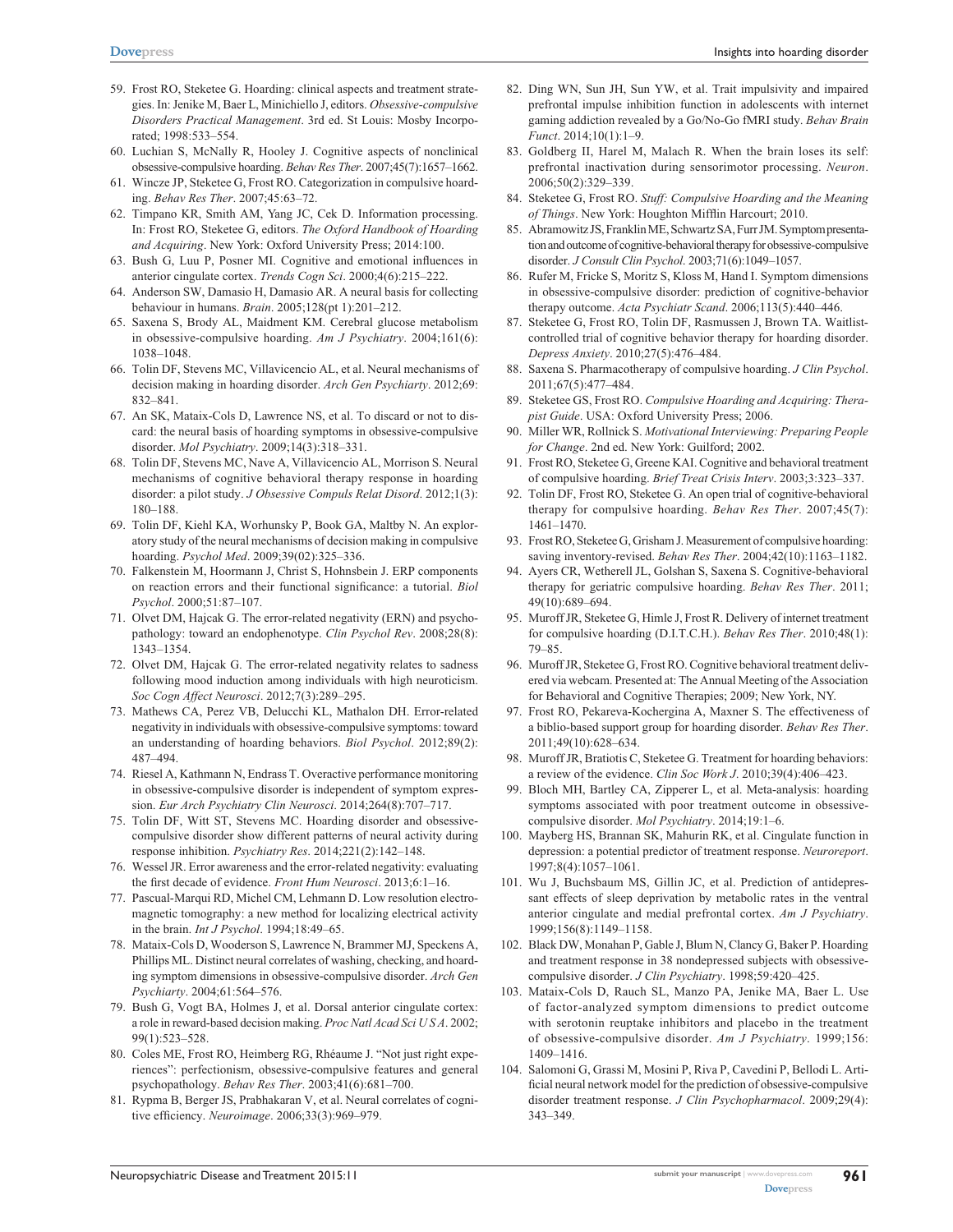- 59. Frost RO, Steketee G. Hoarding: clinical aspects and treatment strategies. In: Jenike M, Baer L, Minichiello J, editors. *Obsessive-compulsive Disorders Practical Management*. 3rd ed. St Louis: Mosby Incorporated; 1998:533–554.
- 60. Luchian S, McNally R, Hooley J. Cognitive aspects of nonclinical obsessive-compulsive hoarding. *Behav Res Ther*. 2007;45(7):1657–1662.
- 61. Wincze JP, Steketee G, Frost RO. Categorization in compulsive hoarding. *Behav Res Ther*. 2007;45:63–72.
- 62. Timpano KR, Smith AM, Yang JC, Cek D. Information processing. In: Frost RO, Steketee G, editors. *The Oxford Handbook of Hoarding and Acquiring*. New York: Oxford University Press; 2014:100.
- 63. Bush G, Luu P, Posner MI. Cognitive and emotional influences in anterior cingulate cortex. *Trends Cogn Sci*. 2000;4(6):215–222.
- 64. Anderson SW, Damasio H, Damasio AR. A neural basis for collecting behaviour in humans. *Brain*. 2005;128(pt 1):201–212.
- 65. Saxena S, Brody AL, Maidment KM. Cerebral glucose metabolism in obsessive-compulsive hoarding. *Am J Psychiatry*. 2004;161(6): 1038–1048.
- 66. Tolin DF, Stevens MC, Villavicencio AL, et al. Neural mechanisms of decision making in hoarding disorder. *Arch Gen Psychiarty*. 2012;69: 832–841.
- 67. An SK, Mataix-Cols D, Lawrence NS, et al. To discard or not to discard: the neural basis of hoarding symptoms in obsessive-compulsive disorder. *Mol Psychiatry*. 2009;14(3):318–331.
- 68. Tolin DF, Stevens MC, Nave A, Villavicencio AL, Morrison S. Neural mechanisms of cognitive behavioral therapy response in hoarding disorder: a pilot study. *J Obsessive Compuls Relat Disord*. 2012;1(3): 180–188.
- 69. Tolin DF, Kiehl KA, Worhunsky P, Book GA, Maltby N. An exploratory study of the neural mechanisms of decision making in compulsive hoarding. *Psychol Med*. 2009;39(02):325–336.
- 70. Falkenstein M, Hoormann J, Christ S, Hohnsbein J. ERP components on reaction errors and their functional significance: a tutorial. *Biol Psychol*. 2000;51:87–107.
- 71. Olvet DM, Hajcak G. The error-related negativity (ERN) and psychopathology: toward an endophenotype. *Clin Psychol Rev*. 2008;28(8): 1343–1354.
- 72. Olvet DM, Hajcak G. The error-related negativity relates to sadness following mood induction among individuals with high neuroticism. *Soc Cogn Affect Neurosci*. 2012;7(3):289–295.
- 73. Mathews CA, Perez VB, Delucchi KL, Mathalon DH. Error-related negativity in individuals with obsessive-compulsive symptoms: toward an understanding of hoarding behaviors. *Biol Psychol*. 2012;89(2): 487–494.
- 74. Riesel A, Kathmann N, Endrass T. Overactive performance monitoring in obsessive-compulsive disorder is independent of symptom expression. *Eur Arch Psychiatry Clin Neurosci*. 2014;264(8):707–717.
- 75. Tolin DF, Witt ST, Stevens MC. Hoarding disorder and obsessivecompulsive disorder show different patterns of neural activity during response inhibition. *Psychiatry Res*. 2014;221(2):142–148.
- 76. Wessel JR. Error awareness and the error-related negativity: evaluating the first decade of evidence. *Front Hum Neurosci*. 2013;6:1–16.
- 77. Pascual-Marqui RD, Michel CM, Lehmann D. Low resolution electromagnetic tomography: a new method for localizing electrical activity in the brain. *Int J Psychol*. 1994;18:49–65.
- 78. Mataix-Cols D, Wooderson S, Lawrence N, Brammer MJ, Speckens A, Phillips ML. Distinct neural correlates of washing, checking, and hoarding symptom dimensions in obsessive-compulsive disorder. *Arch Gen Psychiarty*. 2004;61:564–576.
- 79. Bush G, Vogt BA, Holmes J, et al. Dorsal anterior cingulate cortex: a role in reward-based decision making. *Proc Natl Acad Sci U S A*. 2002; 99(1):523–528.
- 80. Coles ME, Frost RO, Heimberg RG, Rhéaume J. "Not just right experiences": perfectionism, obsessive-compulsive features and general psychopathology. *Behav Res Ther*. 2003;41(6):681–700.
- 81. Rypma B, Berger JS, Prabhakaran V, et al. Neural correlates of cognitive efficiency. *Neuroimage*. 2006;33(3):969–979.
- 82. Ding WN, Sun JH, Sun YW, et al. Trait impulsivity and impaired prefrontal impulse inhibition function in adolescents with internet gaming addiction revealed by a Go/No-Go fMRI study. *Behav Brain Funct*. 2014;10(1):1–9.
- 83. Goldberg II, Harel M, Malach R. When the brain loses its self: prefrontal inactivation during sensorimotor processing. *Neuron*. 2006;50(2):329–339.
- 84. Steketee G, Frost RO. *Stuff: Compulsive Hoarding and the Meaning of Things*. New York: Houghton Mifflin Harcourt; 2010.
- 85. Abramowitz JS, Franklin ME, Schwartz SA, Furr JM. Symptom presentation and outcome of cognitive-behavioral therapy for obsessive-compulsive disorder. *J Consult Clin Psychol*. 2003;71(6):1049–1057.
- 86. Rufer M, Fricke S, Moritz S, Kloss M, Hand I. Symptom dimensions in obsessive-compulsive disorder: prediction of cognitive-behavior therapy outcome. *Acta Psychiatr Scand*. 2006;113(5):440–446.
- 87. Steketee G, Frost RO, Tolin DF, Rasmussen J, Brown TA. Waitlistcontrolled trial of cognitive behavior therapy for hoarding disorder. *Depress Anxiety*. 2010;27(5):476–484.
- 88. Saxena S. Pharmacotherapy of compulsive hoarding. *J Clin Psychol*. 2011;67(5):477–484.
- 89. Steketee GS, Frost RO. *Compulsive Hoarding and Acquiring: Therapist Guide*. USA: Oxford University Press; 2006.
- 90. Miller WR, Rollnick S. *Motivational Interviewing: Preparing People for Change*. 2nd ed. New York: Guilford; 2002.
- 91. Frost RO, Steketee G, Greene KAI. Cognitive and behavioral treatment of compulsive hoarding. *Brief Treat Crisis Interv*. 2003;3:323–337.
- 92. Tolin DF, Frost RO, Steketee G. An open trial of cognitive-behavioral therapy for compulsive hoarding. *Behav Res Ther*. 2007;45(7): 1461–1470.
- 93. Frost RO, Steketee G, Grisham J. Measurement of compulsive hoarding: saving inventory-revised. *Behav Res Ther*. 2004;42(10):1163–1182.
- 94. Ayers CR, Wetherell JL, Golshan S, Saxena S. Cognitive-behavioral therapy for geriatric compulsive hoarding. *Behav Res Ther*. 2011; 49(10):689–694.
- 95. Muroff JR, Steketee G, Himle J, Frost R. Delivery of internet treatment for compulsive hoarding (D.I.T.C.H.). *Behav Res Ther*. 2010;48(1): 79–85.
- 96. Muroff JR, Steketee G, Frost RO. Cognitive behavioral treatment delivered via webcam. Presented at: The Annual Meeting of the Association for Behavioral and Cognitive Therapies; 2009; New York, NY.
- 97. Frost RO, Pekareva-Kochergina A, Maxner S. The effectiveness of a biblio-based support group for hoarding disorder. *Behav Res Ther*. 2011;49(10):628–634.
- 98. Muroff JR, Bratiotis C, Steketee G. Treatment for hoarding behaviors: a review of the evidence. *Clin Soc Work J*. 2010;39(4):406–423.
- 99. Bloch MH, Bartley CA, Zipperer L, et al. Meta-analysis: hoarding symptoms associated with poor treatment outcome in obsessivecompulsive disorder. *Mol Psychiatry*. 2014;19:1–6.
- 100. Mayberg HS, Brannan SK, Mahurin RK, et al. Cingulate function in depression: a potential predictor of treatment response. *Neuroreport*. 1997;8(4):1057–1061.
- 101. Wu J, Buchsbaum MS, Gillin JC, et al. Prediction of antidepressant effects of sleep deprivation by metabolic rates in the ventral anterior cingulate and medial prefrontal cortex. *Am J Psychiatry*. 1999;156(8):1149–1158.
- 102. Black DW, Monahan P, Gable J, Blum N, Clancy G, Baker P. Hoarding and treatment response in 38 nondepressed subjects with obsessivecompulsive disorder. *J Clin Psychiatry*. 1998;59:420–425.
- 103. Mataix-Cols D, Rauch SL, Manzo PA, Jenike MA, Baer L. Use of factor-analyzed symptom dimensions to predict outcome with serotonin reuptake inhibitors and placebo in the treatment of obsessive-compulsive disorder. *Am J Psychiatry*. 1999;156: 1409–1416.
- 104. Salomoni G, Grassi M, Mosini P, Riva P, Cavedini P, Bellodi L. Artificial neural network model for the prediction of obsessive-compulsive disorder treatment response. *J Clin Psychopharmacol*. 2009;29(4): 343–349.